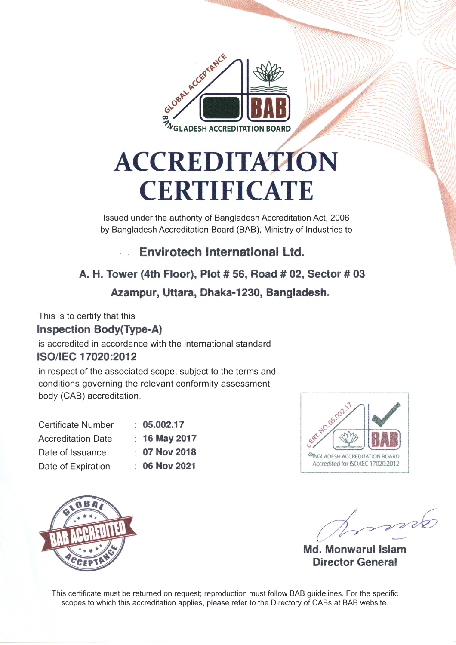

# **ACCREDITATION CERTIFICATE**

Issued under the authority of Bangladesh Accreditation Act, 2006 by Bangladesh Accreditation Board (BAB), Ministry of Industries to

#### Envirotech International Ltd.  $\mathbb{R}^2$

# A. H. Tower (4th Floor), Plot #56, Road #02, Sector #03 Azampur, Uttara, Dhaka-1230, Bangladesh.

This is to certify that this **Inspection Body(Type-A)** 

is accredited in accordance with the international standard ISO/IEC 17020:2012

in respect of the associated scope, subject to the terms and conditions governing the relevant conformity assessment body (CAB) accreditation.

| <b>Certificate Number</b> | : 05.002.17   |
|---------------------------|---------------|
| <b>Accreditation Date</b> | : 16 May 2017 |
| Date of Issuance          | : 07 Nov 2018 |
| Date of Expiration        | : 06 Nov 2021 |





and

Md. Monwarul Islam **Director General** 

This certificate must be returned on request; reproduction must follow BAB quidelines. For the specific scopes to which this accreditation applies, please refer to the Directory of CABs at BAB website.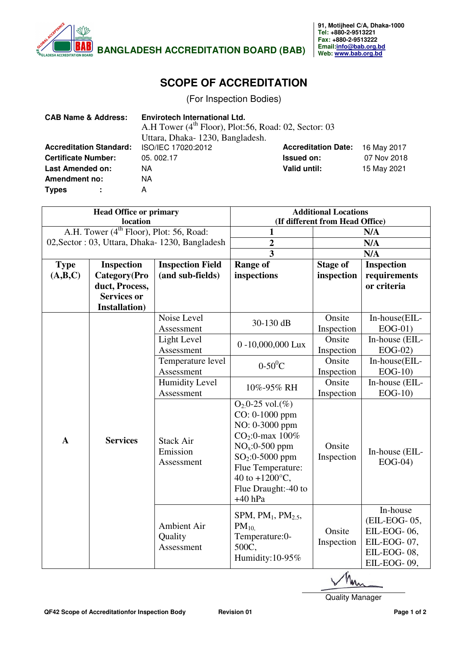

## **SCOPE OF ACCREDITATION**

(For Inspection Bodies)

| <b>CAB Name &amp; Address:</b> |                | <b>Envirotech International Ltd.</b><br>A.H Tower (4 <sup>th</sup> Floor), Plot:56, Road: 02, Sector: 03<br>Uttara, Dhaka-1230, Bangladesh. |                            |             |
|--------------------------------|----------------|---------------------------------------------------------------------------------------------------------------------------------------------|----------------------------|-------------|
| <b>Accreditation Standard:</b> |                | ISO/IEC 17020:2012                                                                                                                          | <b>Accreditation Date:</b> | 16 May 2017 |
| <b>Certificate Number:</b>     |                | 05.002.17                                                                                                                                   | <b>Issued on:</b>          | 07 Nov 2018 |
| <b>Last Amended on:</b>        |                | NА                                                                                                                                          | Valid until:               | 15 May 2021 |
| <b>Amendment no:</b>           |                | NА                                                                                                                                          |                            |             |
| <b>Types</b>                   | $\blacksquare$ | А                                                                                                                                           |                            |             |

| <b>Head Office or primary</b> |                                                     | <b>Additional Locations</b>                |                                                                                                                                                                                                               |                               |                                                                                      |
|-------------------------------|-----------------------------------------------------|--------------------------------------------|---------------------------------------------------------------------------------------------------------------------------------------------------------------------------------------------------------------|-------------------------------|--------------------------------------------------------------------------------------|
|                               | location                                            |                                            | (If different from Head Office)                                                                                                                                                                               |                               |                                                                                      |
|                               | A.H. Tower (4 <sup>th</sup> Floor), Plot: 56, Road: |                                            | N/A<br>1                                                                                                                                                                                                      |                               |                                                                                      |
|                               | 02, Sector: 03, Uttara, Dhaka-1230, Bangladesh      |                                            | $\overline{\mathbf{c}}$                                                                                                                                                                                       | N/A                           |                                                                                      |
|                               |                                                     |                                            | $\overline{3}$                                                                                                                                                                                                | N/A                           |                                                                                      |
| <b>Type</b>                   | <b>Inspection</b>                                   | <b>Inspection Field</b>                    | <b>Range of</b>                                                                                                                                                                                               | Inspection<br><b>Stage of</b> |                                                                                      |
| (A,B,C)                       | Category(Pro                                        | (and sub-fields)                           | inspections                                                                                                                                                                                                   | inspection                    | requirements                                                                         |
|                               | duct, Process,                                      |                                            |                                                                                                                                                                                                               |                               | or criteria                                                                          |
|                               | <b>Services or</b>                                  |                                            |                                                                                                                                                                                                               |                               |                                                                                      |
|                               | <b>Installation</b> )                               |                                            |                                                                                                                                                                                                               |                               |                                                                                      |
|                               |                                                     | Noise Level                                | 30-130 dB                                                                                                                                                                                                     | Onsite                        | In-house(EIL-                                                                        |
|                               |                                                     | Assessment                                 |                                                                                                                                                                                                               | Inspection                    | $EOG-01)$                                                                            |
|                               |                                                     | Light Level                                |                                                                                                                                                                                                               | Onsite                        | In-house (EIL-                                                                       |
|                               |                                                     | Assessment                                 | 0-10,000,000 Lux                                                                                                                                                                                              | Inspection                    | $EOG-02)$                                                                            |
|                               |                                                     | Temperature level                          | $0-50$ <sup>o</sup> C                                                                                                                                                                                         | Onsite                        | In-house(EIL-                                                                        |
| $\mathbf{A}$                  | <b>Services</b>                                     | Assessment                                 |                                                                                                                                                                                                               | Inspection                    | $EOG-10$                                                                             |
|                               |                                                     | <b>Humidity Level</b>                      | 10%-95% RH                                                                                                                                                                                                    | Onsite                        | In-house (EIL-                                                                       |
|                               |                                                     | Assessment                                 |                                                                                                                                                                                                               | Inspection                    | $EOG-10$                                                                             |
|                               |                                                     | <b>Stack Air</b><br>Emission<br>Assessment | $O_2 \cdot 0 - 25$ vol.(%)<br>CO: 0-1000 ppm<br>NO: 0-3000 ppm<br>$CO_2$ :0-max $100\%$<br>$NOx:0-500$ ppm<br>$SO_2:0-5000$ ppm<br>Flue Temperature:<br>40 to $+1200$ °C,<br>Flue Draught:-40 to<br>$+40$ hPa | Onsite<br>Inspection          | In-house (EIL-<br>$EOG-04)$                                                          |
|                               |                                                     | Ambient Air<br>Quality<br>Assessment       | SPM, $PM1$ , $PM2.5$ ,<br>$PM_{10}$<br>Temperature:0-<br>500C,<br>Humidity:10-95%                                                                                                                             | Onsite<br>Inspection          | In-house<br>(EIL-EOG-05,<br>EIL-EOG-06,<br>EIL-EOG-07,<br>EIL-EOG-08,<br>EIL-EOG-09, |

Quality Manager